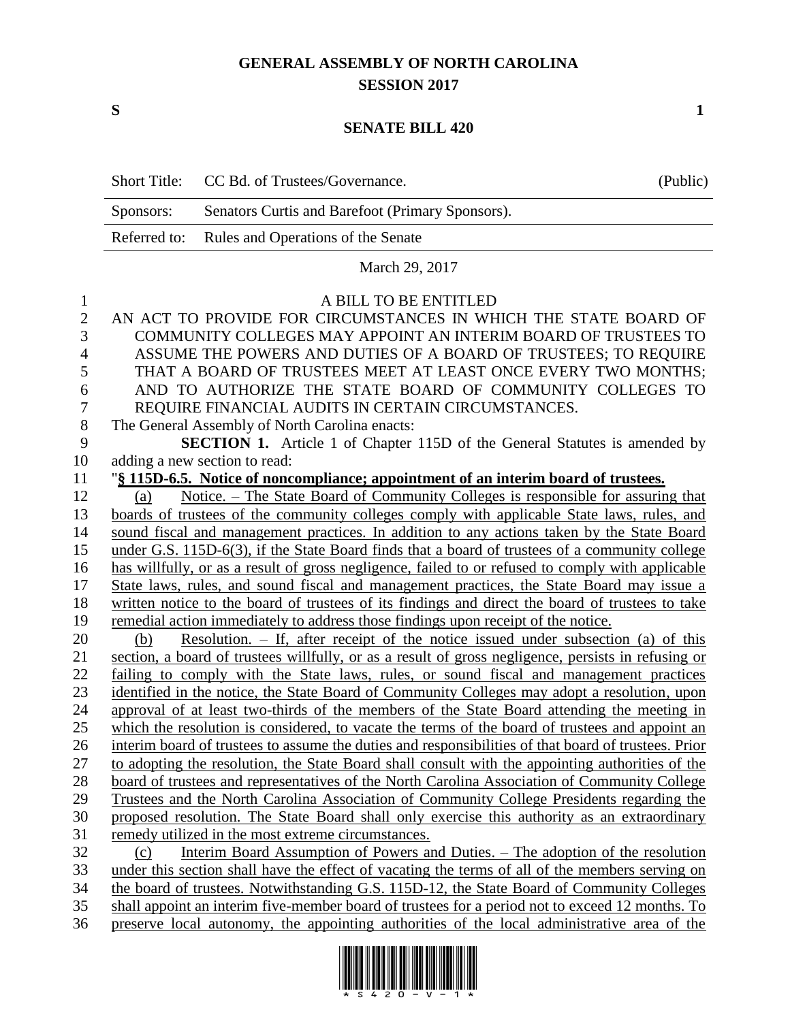## **GENERAL ASSEMBLY OF NORTH CAROLINA SESSION 2017**

**S 1**

## **SENATE BILL 420**

|                | <b>Short Title:</b>                                                                               | CC Bd. of Trustees/Governance.                                                                       | (Public) |  |
|----------------|---------------------------------------------------------------------------------------------------|------------------------------------------------------------------------------------------------------|----------|--|
|                | Senators Curtis and Barefoot (Primary Sponsors).<br>Sponsors:                                     |                                                                                                      |          |  |
|                | Referred to:                                                                                      | Rules and Operations of the Senate                                                                   |          |  |
|                | March 29, 2017                                                                                    |                                                                                                      |          |  |
| 1              | A BILL TO BE ENTITLED                                                                             |                                                                                                      |          |  |
| $\mathbf{2}$   |                                                                                                   | AN ACT TO PROVIDE FOR CIRCUMSTANCES IN WHICH THE STATE BOARD OF                                      |          |  |
| 3              |                                                                                                   | COMMUNITY COLLEGES MAY APPOINT AN INTERIM BOARD OF TRUSTEES TO                                       |          |  |
| $\overline{4}$ | ASSUME THE POWERS AND DUTIES OF A BOARD OF TRUSTEES; TO REQUIRE                                   |                                                                                                      |          |  |
| 5              |                                                                                                   | THAT A BOARD OF TRUSTEES MEET AT LEAST ONCE EVERY TWO MONTHS;                                        |          |  |
| 6              | AND TO AUTHORIZE THE STATE BOARD OF COMMUNITY COLLEGES TO                                         |                                                                                                      |          |  |
| $\tau$         | REQUIRE FINANCIAL AUDITS IN CERTAIN CIRCUMSTANCES.                                                |                                                                                                      |          |  |
| $8\,$          | The General Assembly of North Carolina enacts:                                                    |                                                                                                      |          |  |
| 9              |                                                                                                   | <b>SECTION 1.</b> Article 1 of Chapter 115D of the General Statutes is amended by                    |          |  |
| 10             |                                                                                                   | adding a new section to read:                                                                        |          |  |
| 11             | "§ 115D-6.5. Notice of noncompliance; appointment of an interim board of trustees.                |                                                                                                      |          |  |
| 12             | Notice. – The State Board of Community Colleges is responsible for assuring that<br>(a)           |                                                                                                      |          |  |
| 13             | boards of trustees of the community colleges comply with applicable State laws, rules, and        |                                                                                                      |          |  |
| 14             | sound fiscal and management practices. In addition to any actions taken by the State Board        |                                                                                                      |          |  |
| 15             | under G.S. 115D-6(3), if the State Board finds that a board of trustees of a community college    |                                                                                                      |          |  |
| 16             | has willfully, or as a result of gross negligence, failed to or refused to comply with applicable |                                                                                                      |          |  |
| 17             | State laws, rules, and sound fiscal and management practices, the State Board may issue a         |                                                                                                      |          |  |
| 18             | written notice to the board of trustees of its findings and direct the board of trustees to take  |                                                                                                      |          |  |
| 19             | remedial action immediately to address those findings upon receipt of the notice.                 |                                                                                                      |          |  |
| 20             | Resolution. $-$ If, after receipt of the notice issued under subsection (a) of this<br>(b)        |                                                                                                      |          |  |
| 21             |                                                                                                   | section, a board of trustees willfully, or as a result of gross negligence, persists in refusing or  |          |  |
| 22             |                                                                                                   | failing to comply with the State laws, rules, or sound fiscal and management practices               |          |  |
| 23             |                                                                                                   | identified in the notice, the State Board of Community Colleges may adopt a resolution, upon         |          |  |
| 24             |                                                                                                   | approval of at least two-thirds of the members of the State Board attending the meeting in           |          |  |
| 25             |                                                                                                   | which the resolution is considered, to vacate the terms of the board of trustees and appoint an      |          |  |
| 26             |                                                                                                   | interim board of trustees to assume the duties and responsibilities of that board of trustees. Prior |          |  |
| 27             |                                                                                                   | to adopting the resolution, the State Board shall consult with the appointing authorities of the     |          |  |
| 28             |                                                                                                   | board of trustees and representatives of the North Carolina Association of Community College         |          |  |
| 29             |                                                                                                   | Trustees and the North Carolina Association of Community College Presidents regarding the            |          |  |
| 30             |                                                                                                   | proposed resolution. The State Board shall only exercise this authority as an extraordinary          |          |  |
| 31             | remedy utilized in the most extreme circumstances.                                                |                                                                                                      |          |  |
| 32             | (c)                                                                                               | Interim Board Assumption of Powers and Duties. - The adoption of the resolution                      |          |  |
| 33             | under this section shall have the effect of vacating the terms of all of the members serving on   |                                                                                                      |          |  |
| 34             | the board of trustees. Notwithstanding G.S. 115D-12, the State Board of Community Colleges        |                                                                                                      |          |  |
| 35             |                                                                                                   | shall appoint an interim five-member board of trustees for a period not to exceed 12 months. To      |          |  |
| 36             |                                                                                                   | preserve local autonomy, the appointing authorities of the local administrative area of the          |          |  |